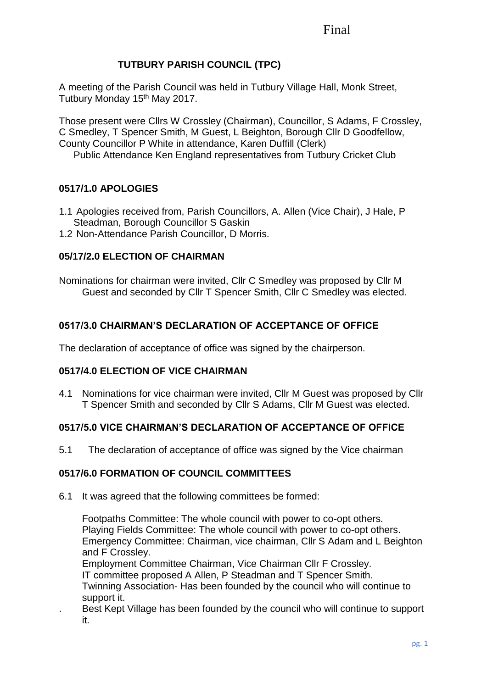# Final

# **TUTBURY PARISH COUNCIL (TPC)**

A meeting of the Parish Council was held in Tutbury Village Hall, Monk Street, Tutbury Monday 15<sup>th</sup> May 2017.

Those present were Cllrs W Crossley (Chairman), Councillor, S Adams, F Crossley, C Smedley, T Spencer Smith, M Guest, L Beighton, Borough Cllr D Goodfellow, County Councillor P White in attendance, Karen Duffill (Clerk) Public Attendance Ken England representatives from Tutbury Cricket Club

# **0517/1.0 APOLOGIES**

- 1.1 Apologies received from, Parish Councillors, A. Allen (Vice Chair), J Hale, P Steadman, Borough Councillor S Gaskin
- 1.2 Non-Attendance Parish Councillor, D Morris.

# **05/17/2.0 ELECTION OF CHAIRMAN**

Nominations for chairman were invited, Cllr C Smedley was proposed by Cllr M Guest and seconded by Cllr T Spencer Smith, Cllr C Smedley was elected.

# **0517/3.0 CHAIRMAN'S DECLARATION OF ACCEPTANCE OF OFFICE**

The declaration of acceptance of office was signed by the chairperson.

## **0517/4.0 ELECTION OF VICE CHAIRMAN**

4.1 Nominations for vice chairman were invited, Cllr M Guest was proposed by Cllr T Spencer Smith and seconded by Cllr S Adams, Cllr M Guest was elected.

## **0517/5.0 VICE CHAIRMAN'S DECLARATION OF ACCEPTANCE OF OFFICE**

5.1 The declaration of acceptance of office was signed by the Vice chairman

## **0517/6.0 FORMATION OF COUNCIL COMMITTEES**

6.1 It was agreed that the following committees be formed:

Footpaths Committee: The whole council with power to co-opt others. Playing Fields Committee: The whole council with power to co-opt others. Emergency Committee: Chairman, vice chairman, Cllr S Adam and L Beighton and F Crossley.

Employment Committee Chairman, Vice Chairman Cllr F Crossley.

IT committee proposed A Allen, P Steadman and T Spencer Smith.

Twinning Association- Has been founded by the council who will continue to support it.

. Best Kept Village has been founded by the council who will continue to support it.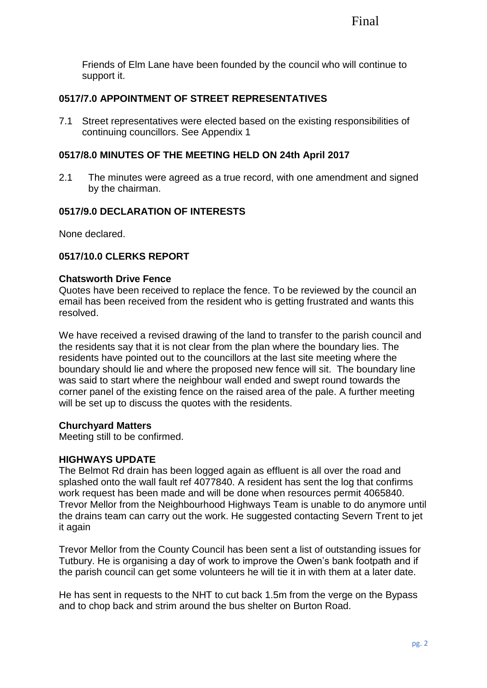Friends of Elm Lane have been founded by the council who will continue to support it.

# **0517/7.0 APPOINTMENT OF STREET REPRESENTATIVES**

7.1 Street representatives were elected based on the existing responsibilities of continuing councillors. See Appendix 1

## **0517/8.0 MINUTES OF THE MEETING HELD ON 24th April 2017**

2.1 The minutes were agreed as a true record, with one amendment and signed by the chairman.

# **0517/9.0 DECLARATION OF INTERESTS**

None declared.

# **0517/10.0 CLERKS REPORT**

#### **Chatsworth Drive Fence**

Quotes have been received to replace the fence. To be reviewed by the council an email has been received from the resident who is getting frustrated and wants this resolved.

We have received a revised drawing of the land to transfer to the parish council and the residents say that it is not clear from the plan where the boundary lies. The residents have pointed out to the councillors at the last site meeting where the boundary should lie and where the proposed new fence will sit. The boundary line was said to start where the neighbour wall ended and swept round towards the corner panel of the existing fence on the raised area of the pale. A further meeting will be set up to discuss the quotes with the residents.

## **Churchyard Matters**

Meeting still to be confirmed.

## **HIGHWAYS UPDATE**

The Belmot Rd drain has been logged again as effluent is all over the road and splashed onto the wall fault ref 4077840. A resident has sent the log that confirms work request has been made and will be done when resources permit 4065840. Trevor Mellor from the Neighbourhood Highways Team is unable to do anymore until the drains team can carry out the work. He suggested contacting Severn Trent to jet it again

Trevor Mellor from the County Council has been sent a list of outstanding issues for Tutbury. He is organising a day of work to improve the Owen's bank footpath and if the parish council can get some volunteers he will tie it in with them at a later date.

He has sent in requests to the NHT to cut back 1.5m from the verge on the Bypass and to chop back and strim around the bus shelter on Burton Road.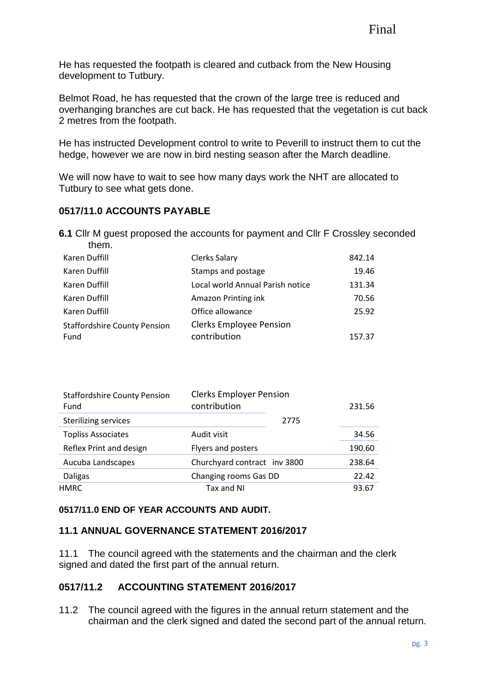He has requested the footpath is cleared and cutback from the New Housing development to Tutbury.

Belmot Road, he has requested that the crown of the large tree is reduced and overhanging branches are cut back. He has requested that the vegetation is cut back 2 metres from the footpath.

He has instructed Development control to write to Peverill to instruct them to cut the hedge, however we are now in bird nesting season after the March deadline.

We will now have to wait to see how many days work the NHT are allocated to Tutbury to see what gets done.

# **0517/11.0 ACCOUNTS PAYABLE**

**6.1** Cllr M guest proposed the accounts for payment and Cllr F Crossley seconded them.

| Karen Duffill                       | <b>Clerks Salary</b>             | 842.14 |
|-------------------------------------|----------------------------------|--------|
| Karen Duffill                       | Stamps and postage               | 19.46  |
| Karen Duffill                       | Local world Annual Parish notice | 131.34 |
| Karen Duffill                       | Amazon Printing ink              | 70.56  |
| Karen Duffill                       | Office allowance                 | 25.92  |
| <b>Staffordshire County Pension</b> | <b>Clerks Employee Pension</b>   |        |
| Fund                                | contribution                     | 157.37 |

| <b>Staffordshire County Pension</b><br>Fund | <b>Clerks Employer Pension</b><br>contribution |      | 231.56 |
|---------------------------------------------|------------------------------------------------|------|--------|
| <b>Sterilizing services</b>                 |                                                | 2775 |        |
| <b>Topliss Associates</b>                   | Audit visit                                    |      | 34.56  |
| Reflex Print and design                     | Flyers and posters                             |      | 190.60 |
| Aucuba Landscapes                           | Churchyard contract inv 3800                   |      | 238.64 |
| Daligas                                     | Changing rooms Gas DD                          |      | 22.42  |
| <b>HMRC</b>                                 | Tax and NI                                     |      | 93.67  |

#### **0517/11.0 END OF YEAR ACCOUNTS AND AUDIT.**

## **11.1 ANNUAL GOVERNANCE STATEMENT 2016/2017**

11.1 The council agreed with the statements and the chairman and the clerk signed and dated the first part of the annual return.

## **0517/11.2 ACCOUNTING STATEMENT 2016/2017**

11.2 The council agreed with the figures in the annual return statement and the chairman and the clerk signed and dated the second part of the annual return.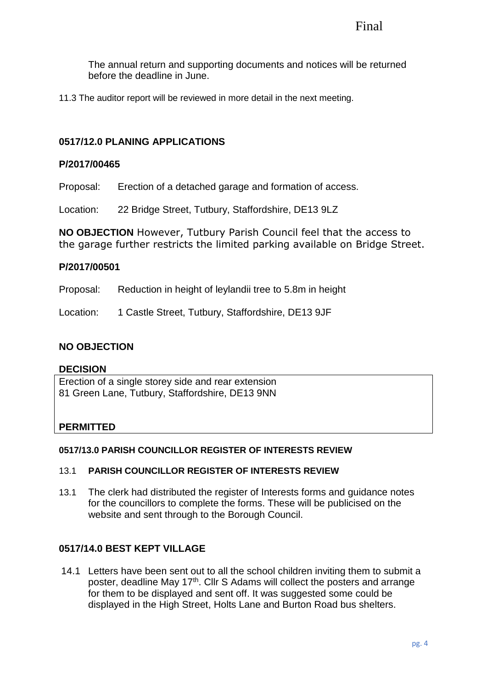The annual return and supporting documents and notices will be returned before the deadline in June.

11.3 The auditor report will be reviewed in more detail in the next meeting.

## **0517/12.0 PLANING APPLICATIONS**

#### **P/2017/00465**

Proposal: Erection of a detached garage and formation of access.

Location: 22 Bridge Street, Tutbury, Staffordshire, DE13 9LZ

**NO OBJECTION** However, Tutbury Parish Council feel that the access to the garage further restricts the limited parking available on Bridge Street.

## **P/2017/00501**

Proposal: Reduction in height of leylandii tree to 5.8m in height

Location: 1 Castle Street, Tutbury, Staffordshire, DE13 9JF

## **NO OBJECTION**

#### **DECISION**

Erection of a single storey side and rear extension 81 Green Lane, Tutbury, Staffordshire, DE13 9NN

## **PERMITTED**

#### **0517/13.0 PARISH COUNCILLOR REGISTER OF INTERESTS REVIEW**

#### 13.1 **PARISH COUNCILLOR REGISTER OF INTERESTS REVIEW**

13.1 The clerk had distributed the register of Interests forms and guidance notes for the councillors to complete the forms. These will be publicised on the website and sent through to the Borough Council.

## **0517/14.0 BEST KEPT VILLAGE**

14.1 Letters have been sent out to all the school children inviting them to submit a poster, deadline May 17<sup>th</sup>. Cllr S Adams will collect the posters and arrange for them to be displayed and sent off. It was suggested some could be displayed in the High Street, Holts Lane and Burton Road bus shelters.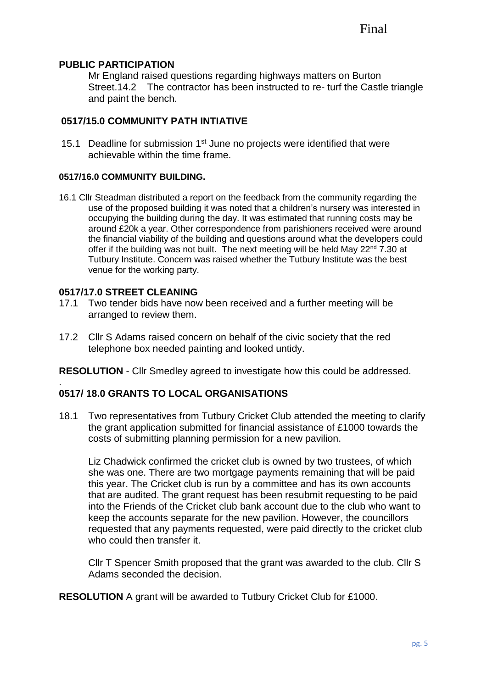## **PUBLIC PARTICIPATION**

Mr England raised questions regarding highways matters on Burton Street.14.2 The contractor has been instructed to re- turf the Castle triangle and paint the bench.

# **0517/15.0 COMMUNITY PATH INTIATIVE**

15.1 Deadline for submission 1<sup>st</sup> June no projects were identified that were achievable within the time frame.

#### **0517/16.0 COMMUNITY BUILDING.**

16.1 Cllr Steadman distributed a report on the feedback from the community regarding the use of the proposed building it was noted that a children's nursery was interested in occupying the building during the day. It was estimated that running costs may be around £20k a year. Other correspondence from parishioners received were around the financial viability of the building and questions around what the developers could offer if the building was not built. The next meeting will be held May  $22^{nd}$  7.30 at Tutbury Institute. Concern was raised whether the Tutbury Institute was the best venue for the working party.

## **0517/17.0 STREET CLEANING**

.

- 17.1 Two tender bids have now been received and a further meeting will be arranged to review them.
- 17.2 Cllr S Adams raised concern on behalf of the civic society that the red telephone box needed painting and looked untidy.

**RESOLUTION** - Cllr Smedley agreed to investigate how this could be addressed.

## **0517/ 18.0 GRANTS TO LOCAL ORGANISATIONS**

18.1 Two representatives from Tutbury Cricket Club attended the meeting to clarify the grant application submitted for financial assistance of £1000 towards the costs of submitting planning permission for a new pavilion.

Liz Chadwick confirmed the cricket club is owned by two trustees, of which she was one. There are two mortgage payments remaining that will be paid this year. The Cricket club is run by a committee and has its own accounts that are audited. The grant request has been resubmit requesting to be paid into the Friends of the Cricket club bank account due to the club who want to keep the accounts separate for the new pavilion. However, the councillors requested that any payments requested, were paid directly to the cricket club who could then transfer it.

Cllr T Spencer Smith proposed that the grant was awarded to the club. Cllr S Adams seconded the decision.

**RESOLUTION** A grant will be awarded to Tutbury Cricket Club for £1000.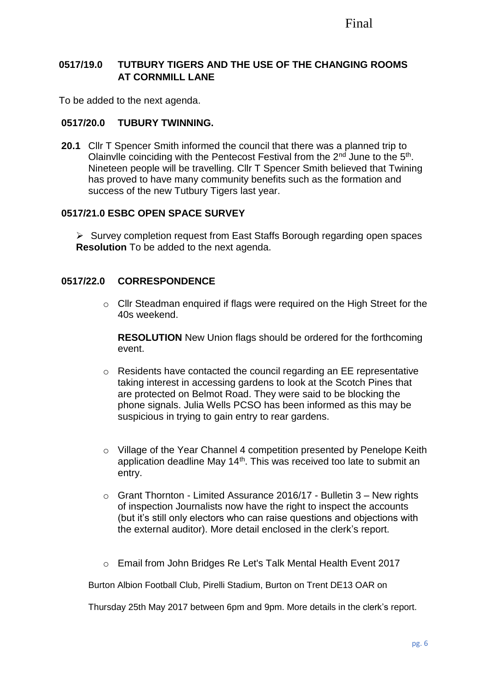# **0517/19.0 TUTBURY TIGERS AND THE USE OF THE CHANGING ROOMS AT CORNMILL LANE**

To be added to the next agenda.

## **0517/20.0 TUBURY TWINNING.**

**20.1** Cllr T Spencer Smith informed the council that there was a planned trip to Olainvile coinciding with the Pentecost Festival from the  $2<sup>nd</sup>$  June to the  $5<sup>th</sup>$ . Nineteen people will be travelling. Cllr T Spencer Smith believed that Twining has proved to have many community benefits such as the formation and success of the new Tutbury Tigers last year.

## **0517/21.0 ESBC OPEN SPACE SURVEY**

➢ Survey completion request from East Staffs Borough regarding open spaces **Resolution** To be added to the next agenda.

## **0517/22.0 CORRESPONDENCE**

o Cllr Steadman enquired if flags were required on the High Street for the 40s weekend.

**RESOLUTION** New Union flags should be ordered for the forthcoming event.

- o Residents have contacted the council regarding an EE representative taking interest in accessing gardens to look at the Scotch Pines that are protected on Belmot Road. They were said to be blocking the phone signals. Julia Wells PCSO has been informed as this may be suspicious in trying to gain entry to rear gardens.
- o Village of the Year Channel 4 competition presented by Penelope Keith application deadline May  $14<sup>th</sup>$ . This was received too late to submit an entry.
- $\circ$  Grant Thornton Limited Assurance 2016/17 Bulletin 3 New rights of inspection Journalists now have the right to inspect the accounts (but it's still only electors who can raise questions and objections with the external auditor). More detail enclosed in the clerk's report.
- o Email from John Bridges Re Let's Talk Mental Health Event 2017

Burton Albion Football Club, Pirelli Stadium, Burton on Trent DE13 OAR on

Thursday 25th May 2017 between 6pm and 9pm. More details in the clerk's report.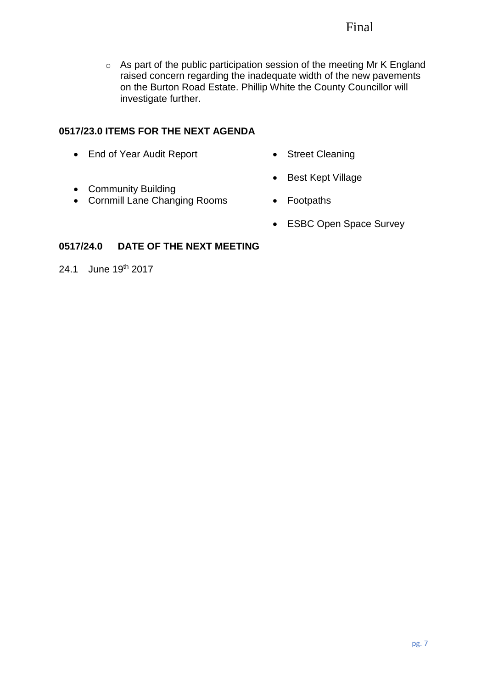# Final

o As part of the public participation session of the meeting Mr K England raised concern regarding the inadequate width of the new pavements on the Burton Road Estate. Phillip White the County Councillor will investigate further.

# **0517/23.0 ITEMS FOR THE NEXT AGENDA**

- End of Year Audit Report
- Street Cleaning

• Best Kept Village

- Community Building
- Cornmill Lane Changing Rooms
- Footpaths
- ESBC Open Space Survey

# **0517/24.0 DATE OF THE NEXT MEETING**

24.1 June 19th 2017